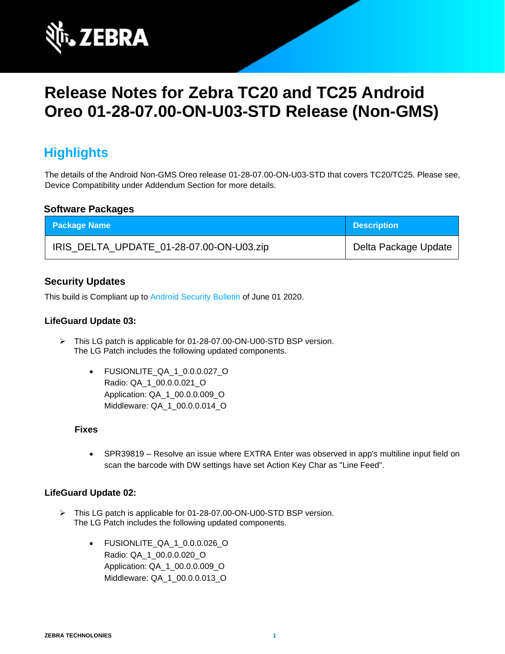

# **Release Notes for Zebra TC20 and TC25 Android Oreo 01-28-07.00-ON-U03-STD Release (Non-GMS)**

# **Highlights**

The details of the Android Non-GMS Oreo release 01-28-07.00-ON-U03-STD that covers TC20/TC25. Please see, Device Compatibility under Addendum Section for more details.

### **Software Packages**

| <b>Package Name</b>                      | <b>Description</b>   |
|------------------------------------------|----------------------|
| IRIS_DELTA_UPDATE_01-28-07.00-ON-U03.zip | Delta Package Update |

### **Security Updates**

This build is Compliant up to [Android Security Bulletin](https://source.android.com/security/bulletin/) of June 01 2020.

### **LifeGuard Update 03:**

- ➢ This LG patch is applicable for 01-28-07.00-ON-U00-STD BSP version. The LG Patch includes the following updated components.
	- FUSIONLITE\_QA\_1\_0.0.0.027\_O Radio: QA\_1\_00.0.0.021\_O Application: QA\_1\_00.0.0.009\_O Middleware: QA\_1\_00.0.0.014\_O

#### **Fixes**

• SPR39819 – Resolve an issue where EXTRA Enter was observed in app's multiline input field on scan the barcode with DW settings have set Action Key Char as "Line Feed".

#### **LifeGuard Update 02:**

- ➢ This LG patch is applicable for 01-28-07.00-ON-U00-STD BSP version. The LG Patch includes the following updated components.
	- FUSIONLITE\_QA\_1\_0.0.0.026\_O Radio: QA\_1\_00.0.0.020\_O Application: QA\_1\_00.0.0.009\_O Middleware: QA\_1\_00.0.0.013\_O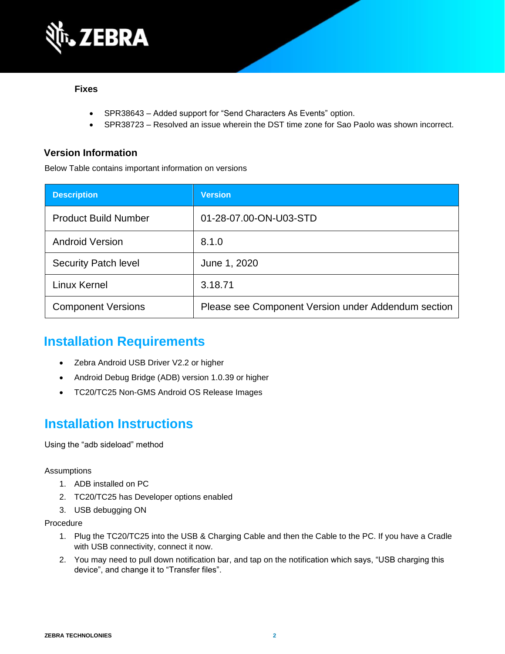

#### **Fixes**

- SPR38643 Added support for "Send Characters As Events" option.
- SPR38723 Resolved an issue wherein the DST time zone for Sao Paolo was shown incorrect.

### **Version Information**

Below Table contains important information on versions

| <b>Description</b>          | <b>Version</b>                                      |
|-----------------------------|-----------------------------------------------------|
| <b>Product Build Number</b> | 01-28-07.00-ON-U03-STD                              |
| <b>Android Version</b>      | 8.1.0                                               |
| <b>Security Patch level</b> | June 1, 2020                                        |
| <b>Linux Kernel</b>         | 3.18.71                                             |
| <b>Component Versions</b>   | Please see Component Version under Addendum section |

### **Installation Requirements**

- Zebra Android USB Driver V2.2 or higher
- Android Debug Bridge (ADB) version 1.0.39 or higher
- TC20/TC25 Non-GMS Android OS Release Images

### **Installation Instructions**

Using the "adb sideload" method

#### Assumptions

- 1. ADB installed on PC
- 2. TC20/TC25 has Developer options enabled
- 3. USB debugging ON

#### Procedure

- 1. Plug the TC20/TC25 into the USB & Charging Cable and then the Cable to the PC. If you have a Cradle with USB connectivity, connect it now.
- 2. You may need to pull down notification bar, and tap on the notification which says, "USB charging this device", and change it to "Transfer files".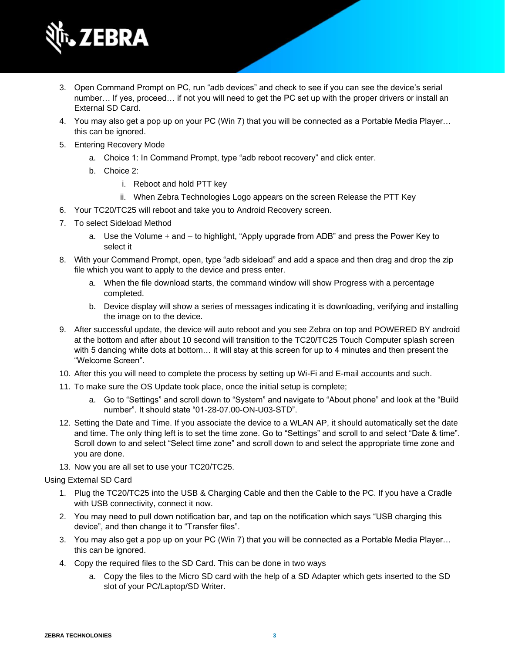

- 3. Open Command Prompt on PC, run "adb devices" and check to see if you can see the device's serial number… If yes, proceed… if not you will need to get the PC set up with the proper drivers or install an External SD Card.
- 4. You may also get a pop up on your PC (Win 7) that you will be connected as a Portable Media Player… this can be ignored.
- 5. Entering Recovery Mode
	- a. Choice 1: In Command Prompt, type "adb reboot recovery" and click enter.
	- b. Choice 2:
		- i. Reboot and hold PTT key
		- ii. When Zebra Technologies Logo appears on the screen Release the PTT Key
- 6. Your TC20/TC25 will reboot and take you to Android Recovery screen.
- 7. To select Sideload Method
	- a. Use the Volume + and to highlight, "Apply upgrade from ADB" and press the Power Key to select it
- 8. With your Command Prompt, open, type "adb sideload" and add a space and then drag and drop the zip file which you want to apply to the device and press enter.
	- a. When the file download starts, the command window will show Progress with a percentage completed.
	- b. Device display will show a series of messages indicating it is downloading, verifying and installing the image on to the device.
- 9. After successful update, the device will auto reboot and you see Zebra on top and POWERED BY android at the bottom and after about 10 second will transition to the TC20/TC25 Touch Computer splash screen with 5 dancing white dots at bottom… it will stay at this screen for up to 4 minutes and then present the "Welcome Screen".
- 10. After this you will need to complete the process by setting up Wi-Fi and E-mail accounts and such.
- 11. To make sure the OS Update took place, once the initial setup is complete;
	- a. Go to "Settings" and scroll down to "System" and navigate to "About phone" and look at the "Build number". It should state "01-28-07.00-ON-U03-STD".
- 12. Setting the Date and Time. If you associate the device to a WLAN AP, it should automatically set the date and time. The only thing left is to set the time zone. Go to "Settings" and scroll to and select "Date & time". Scroll down to and select "Select time zone" and scroll down to and select the appropriate time zone and you are done.
- 13. Now you are all set to use your TC20/TC25.

Using External SD Card

- 1. Plug the TC20/TC25 into the USB & Charging Cable and then the Cable to the PC. If you have a Cradle with USB connectivity, connect it now.
- 2. You may need to pull down notification bar, and tap on the notification which says "USB charging this device", and then change it to "Transfer files".
- 3. You may also get a pop up on your PC (Win 7) that you will be connected as a Portable Media Player… this can be ignored.
- 4. Copy the required files to the SD Card. This can be done in two ways
	- a. Copy the files to the Micro SD card with the help of a SD Adapter which gets inserted to the SD slot of your PC/Laptop/SD Writer.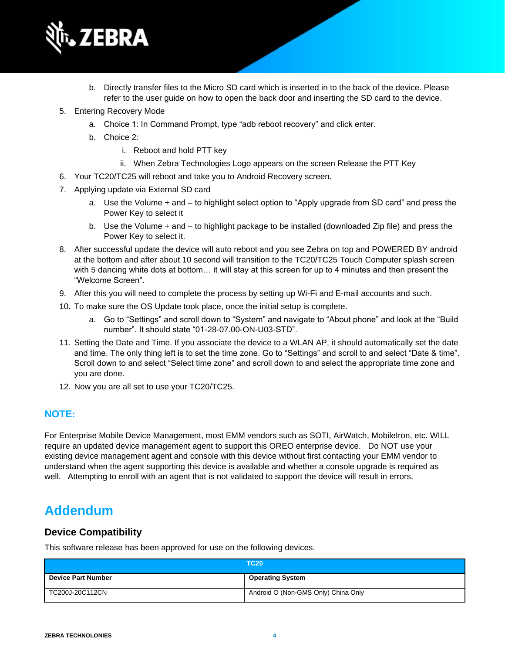

- b. Directly transfer files to the Micro SD card which is inserted in to the back of the device. Please refer to the user guide on how to open the back door and inserting the SD card to the device.
- 5. Entering Recovery Mode
	- a. Choice 1: In Command Prompt, type "adb reboot recovery" and click enter.
	- b. Choice 2:
		- i. Reboot and hold PTT key
		- ii. When Zebra Technologies Logo appears on the screen Release the PTT Key
- 6. Your TC20/TC25 will reboot and take you to Android Recovery screen.
- 7. Applying update via External SD card
	- a. Use the Volume + and to highlight select option to "Apply upgrade from SD card" and press the Power Key to select it
	- b. Use the Volume + and to highlight package to be installed (downloaded Zip file) and press the Power Key to select it.
- 8. After successful update the device will auto reboot and you see Zebra on top and POWERED BY android at the bottom and after about 10 second will transition to the TC20/TC25 Touch Computer splash screen with 5 dancing white dots at bottom… it will stay at this screen for up to 4 minutes and then present the "Welcome Screen".
- 9. After this you will need to complete the process by setting up Wi-Fi and E-mail accounts and such.
- 10. To make sure the OS Update took place, once the initial setup is complete.
	- a. Go to "Settings" and scroll down to "System" and navigate to "About phone" and look at the "Build number". It should state "01-28-07.00-ON-U03-STD".
- 11. Setting the Date and Time. If you associate the device to a WLAN AP, it should automatically set the date and time. The only thing left is to set the time zone. Go to "Settings" and scroll to and select "Date & time". Scroll down to and select "Select time zone" and scroll down to and select the appropriate time zone and you are done.
- 12. Now you are all set to use your TC20/TC25.

### **NOTE:**

For Enterprise Mobile Device Management, most EMM vendors such as SOTI, AirWatch, MobileIron, etc. WILL require an updated device management agent to support this OREO enterprise device. Do NOT use your existing device management agent and console with this device without first contacting your EMM vendor to understand when the agent supporting this device is available and whether a console upgrade is required as well. Attempting to enroll with an agent that is not validated to support the device will result in errors.

### **Addendum**

### **Device Compatibility**

This software release has been approved for use on the following devices.

|                           | <b>TC20</b>                         |
|---------------------------|-------------------------------------|
| <b>Device Part Number</b> | <b>Operating System</b>             |
| TC200J-20C112CN           | Android O (Non-GMS Only) China Only |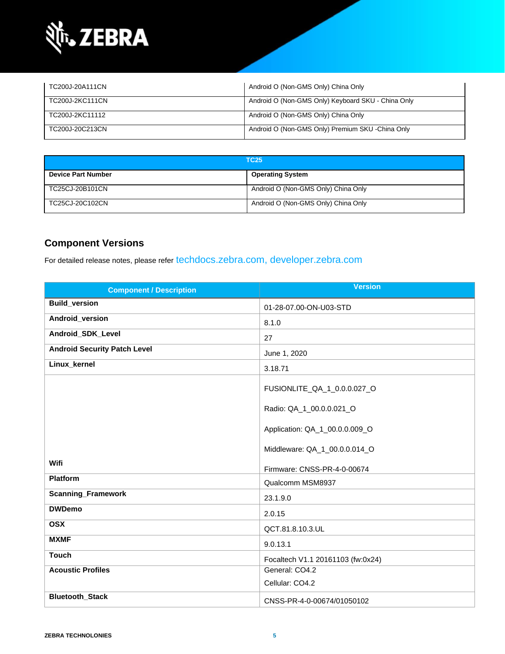

| TC200J-20A111CN | Android O (Non-GMS Only) China Only                |
|-----------------|----------------------------------------------------|
| TC200J-2KC111CN | Android O (Non-GMS Only) Keyboard SKU - China Only |
| TC200J-2KC11112 | Android O (Non-GMS Only) China Only                |
| TC200J-20C213CN | Android O (Non-GMS Only) Premium SKU -China Only   |

| <b>TC25</b>               |                                     |
|---------------------------|-------------------------------------|
| <b>Device Part Number</b> | <b>Operating System</b>             |
| TC25CJ-20B101CN           | Android O (Non-GMS Only) China Only |
| TC25CJ-20C102CN           | Android O (Non-GMS Only) China Only |

### **Component Versions**

For detailed release notes, please refer [techdocs.zebra.com,](https://techdocs.zebra.com/) [developer.zebra.com](https://developer.zebra.com/)

| <b>Component / Description</b>      | <b>Version</b>                    |
|-------------------------------------|-----------------------------------|
| <b>Build_version</b>                | 01-28-07.00-ON-U03-STD            |
| Android_version                     | 8.1.0                             |
| Android_SDK_Level                   | 27                                |
| <b>Android Security Patch Level</b> | June 1, 2020                      |
| Linux_kernel                        | 3.18.71                           |
|                                     | FUSIONLITE_QA_1_0.0.0.027_O       |
|                                     | Radio: QA_1_00.0.0.021_O          |
|                                     | Application: QA_1_00.0.0.009_O    |
|                                     | Middleware: QA_1_00.0.0.014_O     |
| Wifi                                | Firmware: CNSS-PR-4-0-00674       |
| <b>Platform</b>                     | Qualcomm MSM8937                  |
| <b>Scanning_Framework</b>           | 23.1.9.0                          |
| <b>DWDemo</b>                       | 2.0.15                            |
| <b>OSX</b>                          | QCT.81.8.10.3.UL                  |
| <b>MXMF</b>                         | 9.0.13.1                          |
| <b>Touch</b>                        | Focaltech V1.1 20161103 (fw:0x24) |
| <b>Acoustic Profiles</b>            | General: CO4.2                    |
|                                     | Cellular: CO4.2                   |
| Bluetooth_Stack                     | CNSS-PR-4-0-00674/01050102        |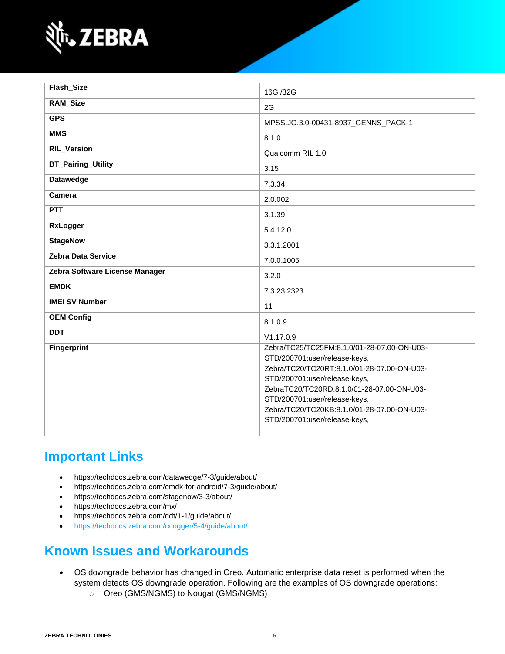

| Flash_Size                     | 16G /32G                                                                                                                                                                                                                                                                                                                    |
|--------------------------------|-----------------------------------------------------------------------------------------------------------------------------------------------------------------------------------------------------------------------------------------------------------------------------------------------------------------------------|
| <b>RAM_Size</b>                | 2G                                                                                                                                                                                                                                                                                                                          |
| <b>GPS</b>                     | MPSS.JO.3.0-00431-8937_GENNS_PACK-1                                                                                                                                                                                                                                                                                         |
| <b>MMS</b>                     | 8.1.0                                                                                                                                                                                                                                                                                                                       |
| <b>RIL_Version</b>             | Qualcomm RIL 1.0                                                                                                                                                                                                                                                                                                            |
| <b>BT_Pairing_Utility</b>      | 3.15                                                                                                                                                                                                                                                                                                                        |
| <b>Datawedge</b>               | 7.3.34                                                                                                                                                                                                                                                                                                                      |
| Camera                         | 2.0.002                                                                                                                                                                                                                                                                                                                     |
| <b>PTT</b>                     | 3.1.39                                                                                                                                                                                                                                                                                                                      |
| <b>RxLogger</b>                | 5.4.12.0                                                                                                                                                                                                                                                                                                                    |
| <b>StageNow</b>                | 3.3.1.2001                                                                                                                                                                                                                                                                                                                  |
| <b>Zebra Data Service</b>      | 7.0.0.1005                                                                                                                                                                                                                                                                                                                  |
| Zebra Software License Manager | 3.2.0                                                                                                                                                                                                                                                                                                                       |
| <b>EMDK</b>                    | 7.3.23.2323                                                                                                                                                                                                                                                                                                                 |
| <b>IMEI SV Number</b>          | 11                                                                                                                                                                                                                                                                                                                          |
| <b>OEM Config</b>              | 8.1.0.9                                                                                                                                                                                                                                                                                                                     |
| <b>DDT</b>                     | V1.17.0.9                                                                                                                                                                                                                                                                                                                   |
| <b>Fingerprint</b>             | Zebra/TC25/TC25FM:8.1.0/01-28-07.00-ON-U03-<br>STD/200701:user/release-keys,<br>Zebra/TC20/TC20RT:8.1.0/01-28-07.00-ON-U03-<br>STD/200701:user/release-keys,<br>ZebraTC20/TC20RD:8.1.0/01-28-07.00-ON-U03-<br>STD/200701:user/release-keys,<br>Zebra/TC20/TC20KB:8.1.0/01-28-07.00-ON-U03-<br>STD/200701:user/release-keys, |

### **Important Links**

- <https://techdocs.zebra.com/datawedge/7-3/guide/about/>
- <https://techdocs.zebra.com/emdk-for-android/7-3/guide/about/>
- <https://techdocs.zebra.com/stagenow/3-3/about/>
- <https://techdocs.zebra.com/mx/>
- <https://techdocs.zebra.com/ddt/1-1/guide/about/>
- <https://techdocs.zebra.com/rxlogger/5-4/guide/about/>

### **Known Issues and Workarounds**

- OS downgrade behavior has changed in Oreo. Automatic enterprise data reset is performed when the system detects OS downgrade operation. Following are the examples of OS downgrade operations:
	- o Oreo (GMS/NGMS) to Nougat (GMS/NGMS)